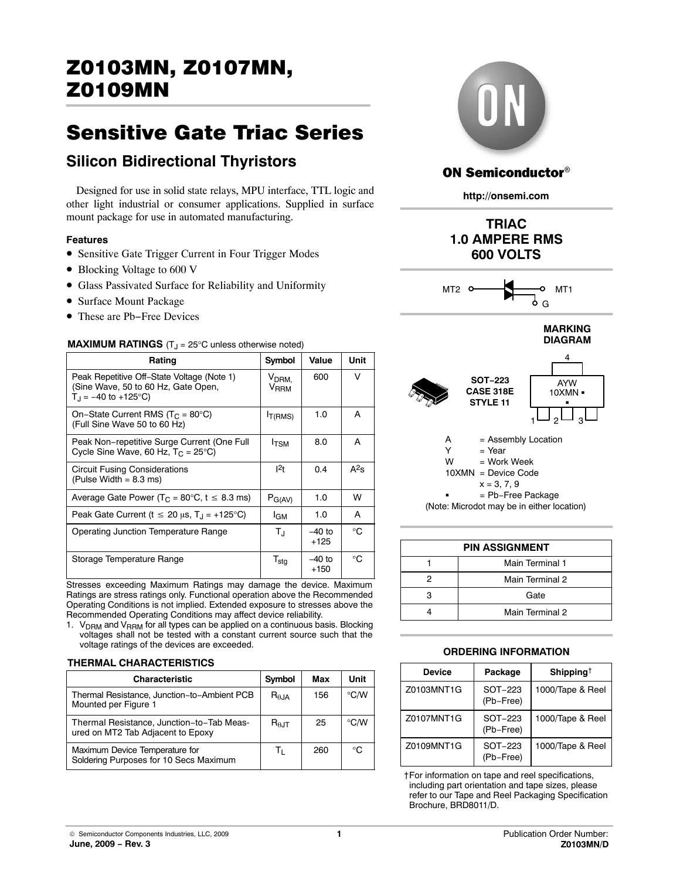# Sensitive Gate Triac Series

# **Silicon Bidirectional Thyristors**

Designed for use in solid state relays, MPU interface, TTL logic and other light industrial or consumer applications. Supplied in surface mount package for use in automated manufacturing.

#### **Features**

- Sensitive Gate Trigger Current in Four Trigger Modes
- Blocking Voltage to 600 V
- Glass Passivated Surface for Reliability and Uniformity
- Surface Mount Package
- These are Pb−Free Devices

### **MAXIMUM RATINGS** (T<sub>J</sub> = 25°C unless otherwise noted)

| Rating                                                                                                               | Symbol                                | Value              | Unit    |
|----------------------------------------------------------------------------------------------------------------------|---------------------------------------|--------------------|---------|
| Peak Repetitive Off-State Voltage (Note 1)<br>(Sine Wave, 50 to 60 Hz, Gate Open,<br>$T_{\text{H}}$ = -40 to +125°C) | V <sub>DRM.</sub><br>V <sub>RRM</sub> | 600                | V       |
| On-State Current RMS ( $T_c$ = 80°C)<br>(Full Sine Wave 50 to 60 Hz)                                                 | I <sub>T</sub> (RMS)                  | 1.0                | A       |
| Peak Non-repetitive Surge Current (One Full<br>Cycle Sine Wave, 60 Hz, $T_C = 25^{\circ}C$ )                         | <b>I</b> TSM                          | 8.0                | A       |
| <b>Circuit Fusing Considerations</b><br>(Pulse Width $= 8.3$ ms)                                                     | $1^2$ t                               | 0.4                | $A^2$ s |
| Average Gate Power ( $T_C = 80^\circ \text{C}$ , $t \leq 8.3 \text{ ms}$ )                                           | $P_{G(AV)}$                           | 1.0                | w       |
| Peak Gate Current ( $t \le 20 \mu s$ , T <sub>J</sub> = +125°C)                                                      | l <sub>GM</sub>                       | 1.0                | A       |
| Operating Junction Temperature Range                                                                                 | $T_{\rm J}$                           | $-40$ to<br>$+125$ | °C      |
| Storage Temperature Range                                                                                            | $T_{\text{stg}}$                      | $-40$ to<br>$+150$ | ℃       |

Stresses exceeding Maximum Ratings may damage the device. Maximum Ratings are stress ratings only. Functional operation above the Recommended Operating Conditions is not implied. Extended exposure to stresses above the Recommended Operating Conditions may affect device reliability.

1. V<sub>DRM</sub> and V<sub>RRM</sub> for all types can be applied on a continuous basis. Blocking voltages shall not be tested with a constant current source such that the voltage ratings of the devices are exceeded.

#### **THERMAL CHARACTERISTICS**

| <b>Characteristic</b>                                                          | Symbol          | Max | Unit          |
|--------------------------------------------------------------------------------|-----------------|-----|---------------|
| Thermal Resistance, Junction-to-Ambient PCB<br>Mounted per Figure 1            | $R_{\theta,IA}$ | 156 | $\degree$ C/W |
| Thermal Resistance, Junction-to-Tab Meas-<br>ured on MT2 Tab Adjacent to Epoxy | $R_{0,IT}$      | 25  | $\degree$ C/W |
| Maximum Device Temperature for<br>Soldering Purposes for 10 Secs Maximum       | Tı.             | 260 | ി             |



## **ON Semiconductor®**

**http://onsemi.com**









| <b>PIN ASSIGNMENT</b> |                 |  |  |  |  |  |
|-----------------------|-----------------|--|--|--|--|--|
|                       | Main Terminal 1 |  |  |  |  |  |
|                       | Main Terminal 2 |  |  |  |  |  |
| з                     | Gate            |  |  |  |  |  |
|                       | Main Terminal 2 |  |  |  |  |  |
|                       |                 |  |  |  |  |  |

#### **ORDERING INFORMATION**

| <b>Device</b> | Package                | Shipping <sup>†</sup> |
|---------------|------------------------|-----------------------|
| Z0103MNT1G    | $SOT-223$<br>(Pb-Free) | 1000/Tape & Reel      |
| 70107MNT1G    | SOT-223<br>(Pb-Free)   | 1000/Tape & Reel      |
| 70109MNT1G    | SOT-223<br>(Pb-Free)   | 1000/Tape & Reel      |

†For information on tape and reel specifications, including part orientation and tape sizes, please refer to our Tape and Reel Packaging Specification Brochure, BRD8011/D.

© Semiconductor Components Industries, LLC, 2009 **June, 2009 − Rev. 3**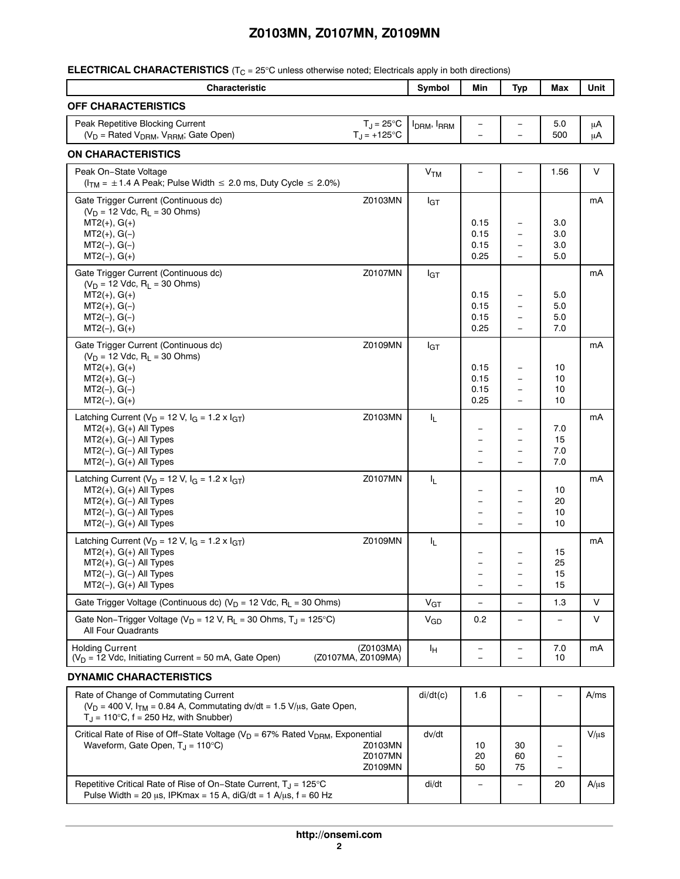**ELECTRICAL CHARACTERISTICS** (T<sub>C</sub> = 25°C unless otherwise noted; Electricals apply in both directions)

| <b>Characteristic</b>                                                                                                                                                             | Symbol                              | Min                      | <b>Typ</b>               | Max                      | Unit      |
|-----------------------------------------------------------------------------------------------------------------------------------------------------------------------------------|-------------------------------------|--------------------------|--------------------------|--------------------------|-----------|
| <b>OFF CHARACTERISTICS</b>                                                                                                                                                        |                                     |                          |                          |                          |           |
| Peak Repetitive Blocking Current<br>$T_J = 25^{\circ}C$                                                                                                                           | I <sub>DRM</sub> , I <sub>RRM</sub> |                          |                          | 5.0                      | μA        |
| (V <sub>D</sub> = Rated V <sub>DRM</sub> , V <sub>RRM</sub> ; Gate Open)<br>$T_{\rm J}$ = +125°C                                                                                  |                                     |                          |                          | 500                      | μA        |
| <b>ON CHARACTERISTICS</b>                                                                                                                                                         |                                     |                          |                          |                          |           |
| Peak On-State Voltage<br>$(ITM = \pm 1.4$ A Peak; Pulse Width $\leq 2.0$ ms, Duty Cycle $\leq 2.0\%$ )                                                                            | <b>V<sub>TM</sub></b>               |                          | $\overline{\phantom{0}}$ | 1.56                     | $\vee$    |
| Gate Trigger Current (Continuous dc)<br>Z0103MN                                                                                                                                   | $I_{GT}$                            |                          |                          |                          | mA        |
| $(V_D = 12$ Vdc, $R_L = 30$ Ohms)<br>$MT2(+), G(+)$                                                                                                                               |                                     | 0.15                     |                          | 3.0                      |           |
| $MT2(+), G(-)$                                                                                                                                                                    |                                     | 0.15                     |                          | 3.0                      |           |
| $MT2(-), G(-)$                                                                                                                                                                    |                                     | 0.15                     | $\overline{\phantom{0}}$ | 3.0                      |           |
| $MT2(-), G(+)$                                                                                                                                                                    |                                     | 0.25                     |                          | 5.0                      |           |
| Gate Trigger Current (Continuous dc)<br>Z0107MN                                                                                                                                   | $I_{GT}$                            |                          |                          |                          | mA        |
| $(V_D = 12$ Vdc, $R_L = 30$ Ohms)                                                                                                                                                 |                                     | 0.15                     |                          | 5.0                      |           |
| $MT2(+), G(+)$<br>$MT2(+), G(-)$                                                                                                                                                  |                                     | 0.15                     |                          | 5.0                      |           |
| $MT2(-), G(-)$                                                                                                                                                                    |                                     | 0.15                     |                          | 5.0                      |           |
| $MT2(-), G(+)$                                                                                                                                                                    |                                     | 0.25                     | $\overline{\phantom{0}}$ | 7.0                      |           |
| Gate Trigger Current (Continuous dc)<br>Z0109MN                                                                                                                                   | $I_{GT}$                            |                          |                          |                          | mA        |
| $(V_D = 12$ Vdc, $R_1 = 30$ Ohms)<br>$MT2(+), G(+)$                                                                                                                               |                                     |                          |                          |                          |           |
| $MT2(+), G(-)$                                                                                                                                                                    |                                     | 0.15<br>0.15             |                          | 10<br>10                 |           |
| $MT2(-), G(-)$                                                                                                                                                                    |                                     | 0.15                     |                          | 10                       |           |
| $MT2(-), G(+)$                                                                                                                                                                    |                                     | 0.25                     |                          | 10                       |           |
| Latching Current ( $V_D$ = 12 V, $I_G$ = 1.2 x $I_{GT}$ )<br>Z0103MN                                                                                                              | IL.                                 |                          |                          |                          | mA        |
| $MT2(+)$ , $G(+)$ All Types                                                                                                                                                       |                                     |                          |                          | 7.0                      |           |
| $MT2(+)$ , G(-) All Types                                                                                                                                                         |                                     |                          |                          | 15                       |           |
| $MT2(-), G(-)$ All Types                                                                                                                                                          |                                     |                          | -                        | 7.0                      |           |
| $MT2(-)$ , $G(+)$ All Types                                                                                                                                                       |                                     |                          |                          | 7.0                      |           |
| Latching Current ( $V_D$ = 12 V, $I_G$ = 1.2 x $I_{GT}$ )<br>Z0107MN                                                                                                              | IL.                                 |                          |                          |                          | mA        |
| $MT2(+)$ , $G(+)$ All Types<br>$MT2(+)$ , G(-) All Types                                                                                                                          |                                     |                          | $\overline{\phantom{0}}$ | 10<br>20                 |           |
| $MT2(-), G(-)$ All Types                                                                                                                                                          |                                     |                          | $\overline{\phantom{0}}$ | 10                       |           |
| $MT2(-), G(+)$ All Types                                                                                                                                                          |                                     |                          |                          | 10                       |           |
| Latching Current ( $V_D$ = 12 V, $I_G$ = 1.2 x $I_{GT}$ )<br>Z0109MN                                                                                                              | IL.                                 |                          |                          |                          | mA        |
| $MT2(+), G(+)$ All Types                                                                                                                                                          |                                     |                          |                          | 15                       |           |
| $MT2(+)$ , G(-) All Types                                                                                                                                                         |                                     |                          | $\overline{\phantom{0}}$ | 25                       |           |
| MT2(-), G(-) All Types                                                                                                                                                            |                                     | -                        |                          | 15                       |           |
| $MT2(-)$ , $G(+)$ All Types                                                                                                                                                       |                                     | $\qquad \qquad -$        | $\overline{\phantom{0}}$ | 15                       |           |
| Gate Trigger Voltage (Continuous dc) ( $V_D$ = 12 Vdc, R <sub>L</sub> = 30 Ohms)                                                                                                  | V <sub>GT</sub>                     | $\qquad \qquad -$        | $\overline{\phantom{0}}$ | 1.3                      | V         |
| Gate Non-Trigger Voltage ( $V_D = 12$ V, R <sub>L</sub> = 30 Ohms, T <sub>J</sub> = 125°C)<br><b>All Four Quadrants</b>                                                           | V <sub>GD</sub>                     | 0.2                      |                          |                          | V         |
| <b>Holding Current</b><br>(Z0103MA)<br>(Z0107MA, Z0109MA)<br>$(V_D = 12$ Vdc, Initiating Current = 50 mA, Gate Open)                                                              | Iн                                  |                          | $\overline{\phantom{0}}$ | 7.0<br>10                | mA        |
|                                                                                                                                                                                   |                                     | $\overline{\phantom{0}}$ |                          |                          |           |
| <b>DYNAMIC CHARACTERISTICS</b>                                                                                                                                                    |                                     |                          |                          |                          |           |
| Rate of Change of Commutating Current<br>( $V_D$ = 400 V, $I_{TM}$ = 0.84 A, Commutating dv/dt = 1.5 V/ $\mu$ s, Gate Open,<br>$T_J = 110^{\circ}C$ , $f = 250$ Hz, with Snubber) | di/dt(c)                            | 1.6                      |                          |                          | A/ms      |
| Critical Rate of Rise of Off-State Voltage ( $V_D$ = 67% Rated $V_{DRM}$ , Exponential                                                                                            | dv/dt                               |                          |                          |                          | $V/\mu s$ |
| Waveform, Gate Open, $T_J = 110^{\circ}C$ )<br>Z0103MN                                                                                                                            |                                     | 10                       | 30                       |                          |           |
| Z0107MN                                                                                                                                                                           |                                     | 20                       | 60                       | $\overline{\phantom{m}}$ |           |
| Z0109MN                                                                                                                                                                           |                                     | 50                       | 75                       | $\overline{\phantom{0}}$ |           |
| Repetitive Critical Rate of Rise of On-State Current, T <sub>.J</sub> = 125°C<br>Pulse Width = 20 $\mu$ s, IPKmax = 15 A, diG/dt = 1 A/ $\mu$ s, f = 60 Hz                        | di/dt                               |                          |                          | 20                       | $A/\mu s$ |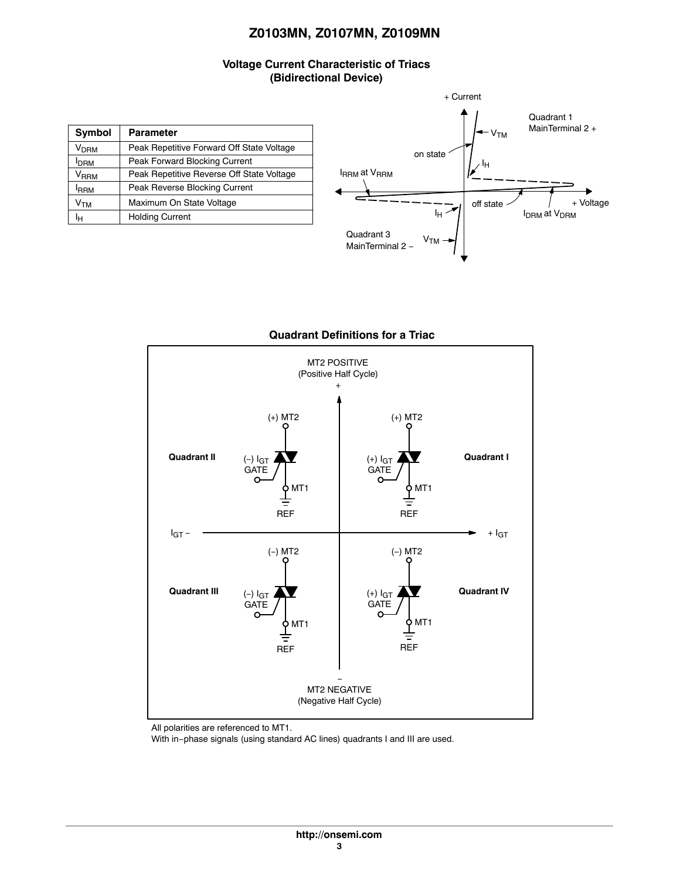## **Voltage Current Characteristic of Triacs (Bidirectional Device)**

| Symbol<br><b>Parameter</b>                             |                                           |  |
|--------------------------------------------------------|-------------------------------------------|--|
| V <sub>DRM</sub>                                       | Peak Repetitive Forward Off State Voltage |  |
| I <sub>DRM</sub>                                       | Peak Forward Blocking Current             |  |
| V <sub>RRM</sub>                                       | Peak Repetitive Reverse Off State Voltage |  |
| <b>IRRM</b>                                            | Peak Reverse Blocking Current             |  |
| Maximum On State Voltage<br>$\mathsf{v}_{\mathsf{TM}}$ |                                           |  |
| Iн                                                     | <b>Holding Current</b>                    |  |





#### **Quadrant Definitions for a Triac**

All polarities are referenced to MT1.

With in−phase signals (using standard AC lines) quadrants I and III are used.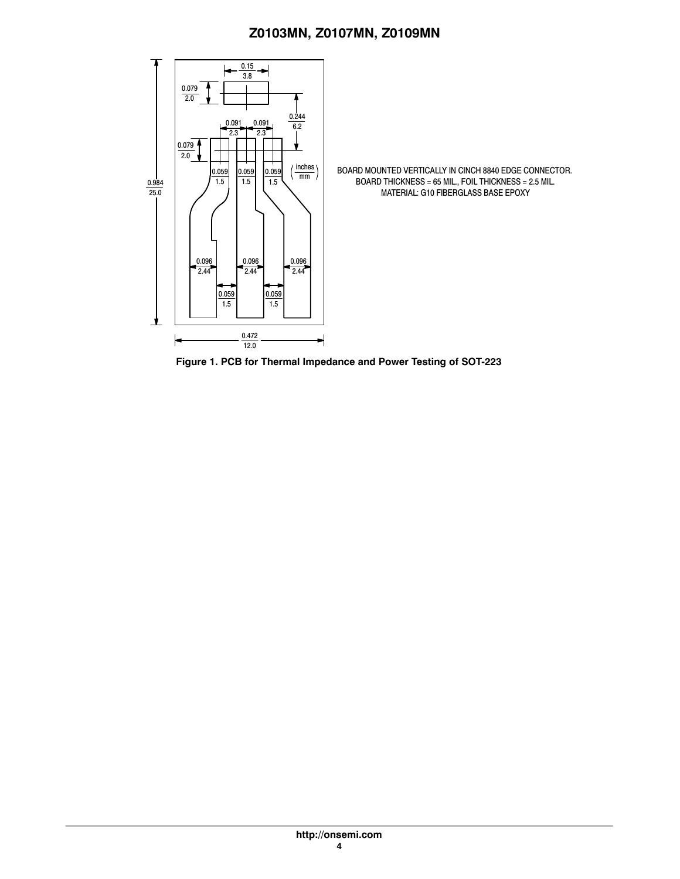<span id="page-3-0"></span>

**Figure 1. PCB for Thermal Impedance and Power Testing of SOT-223**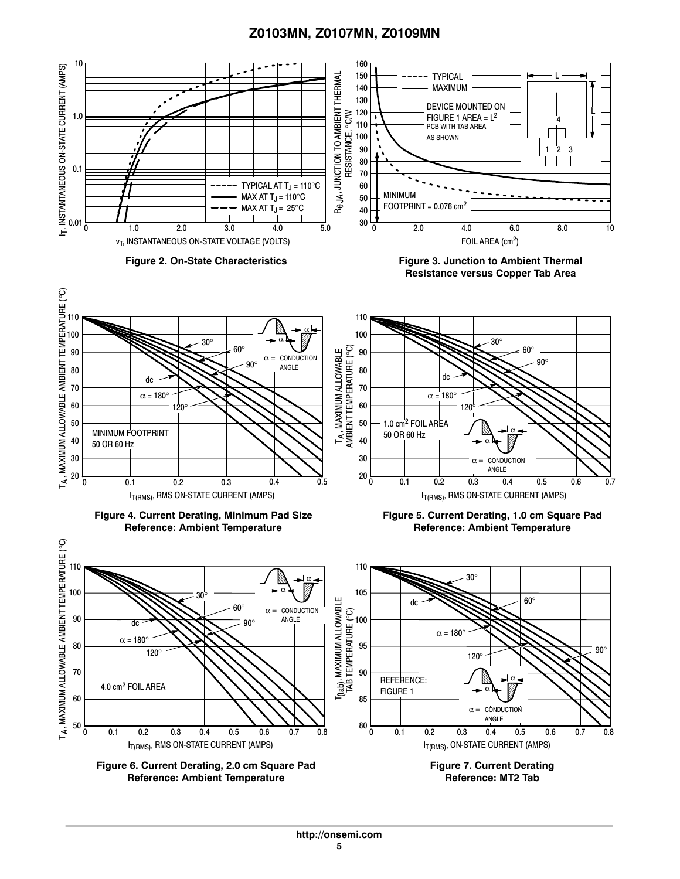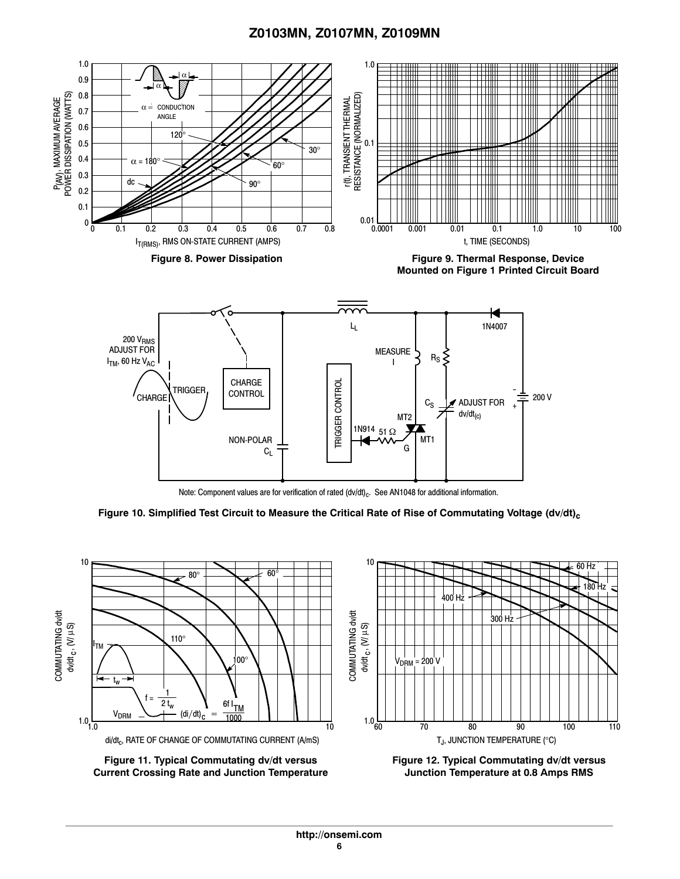

Note: Component values are for verification of rated (dv/dt)<sub>c</sub>. See AN1048 for additional information.

G

 $C_L$ 

Figure 10. Simplified Test Circuit to Measure the Critical Rate of Rise of Commutating Voltage (dv/dt)<sub>c</sub>



**Figure 11. Typical Commutating dv/dt versus Current Crossing Rate and Junction Temperature**

**Figure 12. Typical Commutating dv/dt versus Junction Temperature at 0.8 Amps RMS**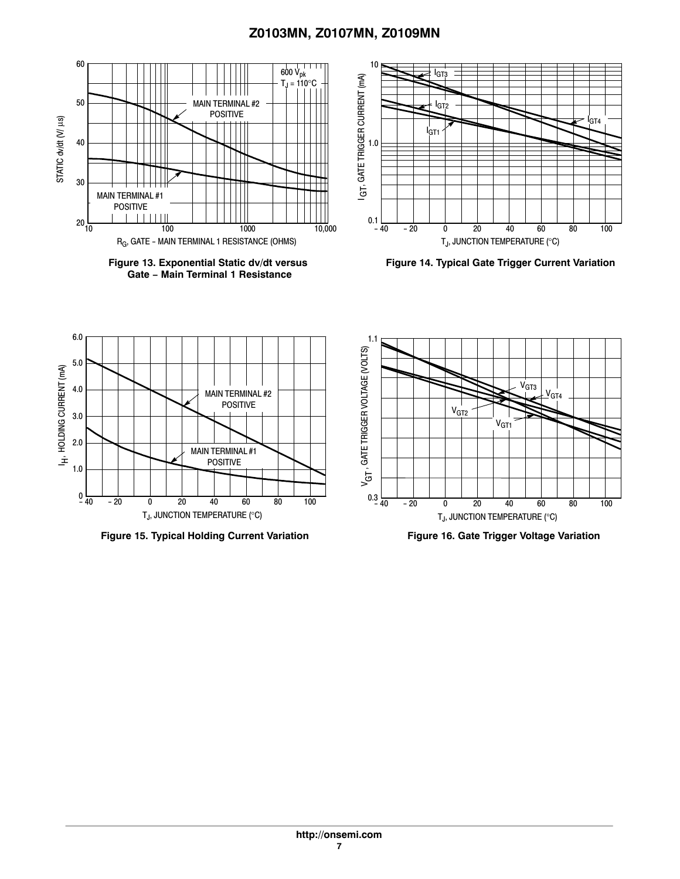

**Figure 13. Exponential Static dv/dt versus Gate − Main Terminal 1 Resistance**



**Figure 14. Typical Gate Trigger Current Variation**



**Figure 15. Typical Holding Current Variation**



**Figure 16. Gate Trigger Voltage Variation**